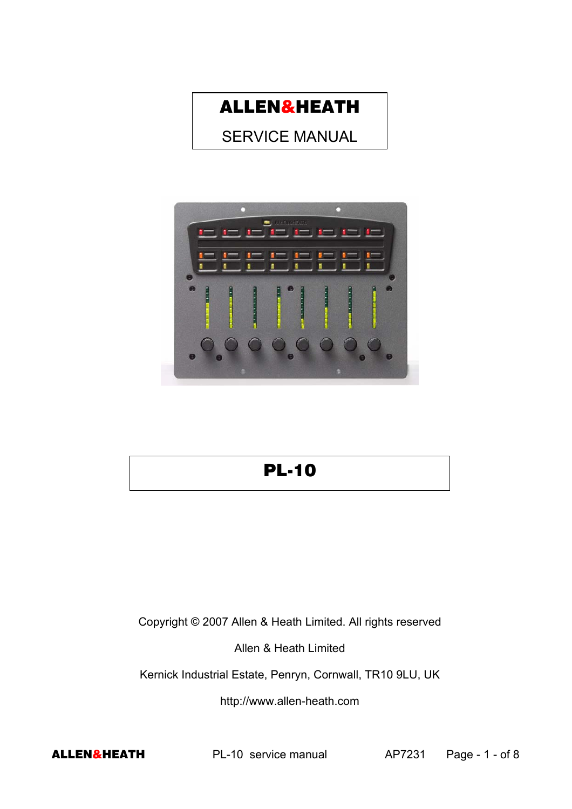

SERVICE MANUAL



# PL-10

Copyright © 2007 Allen & Heath Limited. All rights reserved

Allen & Heath Limited

Kernick Industrial Estate, Penryn, Cornwall, TR10 9LU, UK

http://www.allen-heath.com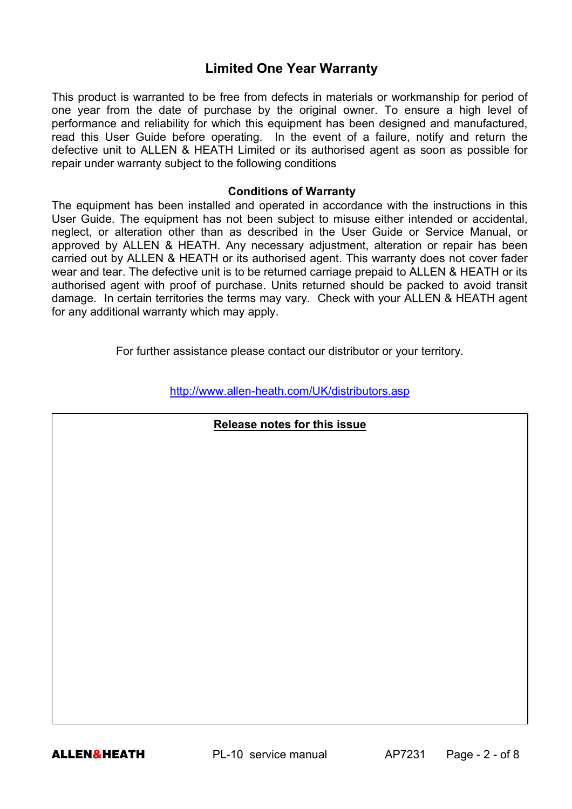# **Limited One Year Warranty**

This product is warranted to be free from defects in materials or workmanship for period of one year from the date of purchase by the original owner. To ensure a high level of performance and reliability for which this equipment has been designed and manufactured, read this User Guide before operating. In the event of a failure, notify and return the defective unit to ALLEN & HEATH Limited or its authorised agent as soon as possible for repair under warranty subject to the following conditions

#### **Conditions of Warranty**

The equipment has been installed and operated in accordance with the instructions in this User Guide. The equipment has not been subject to misuse either intended or accidental, neglect, or alteration other than as described in the User Guide or Service Manual, or approved by ALLEN & HEATH. Any necessary adjustment, alteration or repair has been carried out by ALLEN & HEATH or its authorised agent. This warranty does not cover fader wear and tear. The defective unit is to be returned carriage prepaid to ALLEN & HEATH or its authorised agent with proof of purchase. Units returned should be packed to avoid transit damage. In certain territories the terms may vary. Check with your ALLEN & HEATH agent for any additional warranty which may apply.

For further assistance please contact our distributor or your territory.

http://www.allen-heath.com/UK/distributors.asp

### **Release notes for this issue**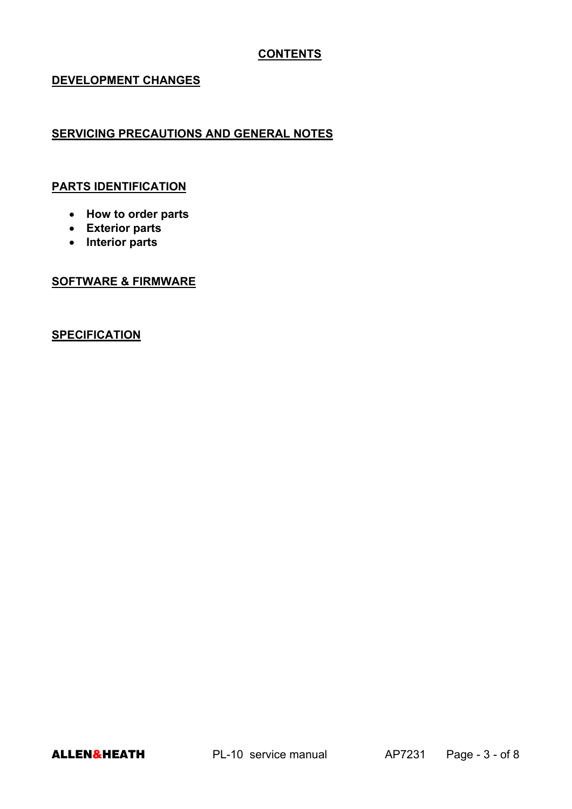# **CONTENTS**

### **DEVELOPMENT CHANGES**

# **SERVICING PRECAUTIONS AND GENERAL NOTES**

#### **PARTS IDENTIFICATION**

- **How to order parts**
- **Exterior parts**
- **Interior parts**

### **SOFTWARE & FIRMWARE**

# **SPECIFICATION**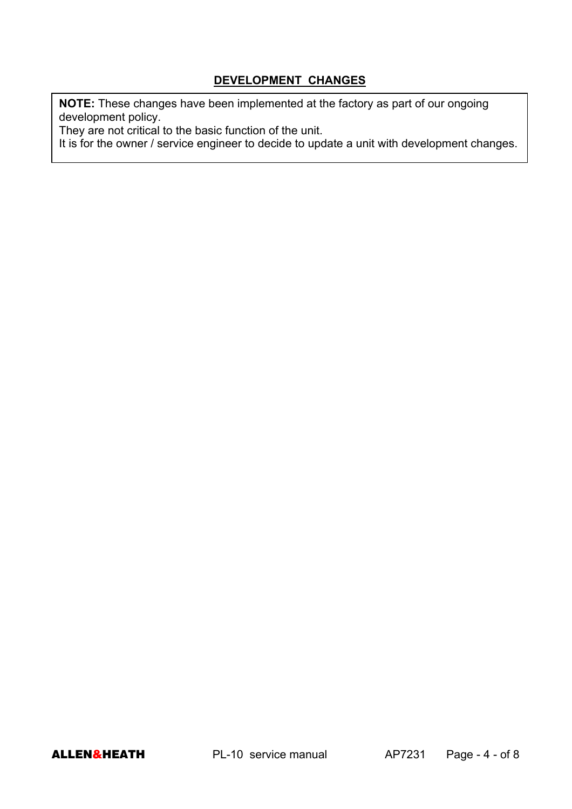# **DEVELOPMENT CHANGES**

**NOTE:** These changes have been implemented at the factory as part of our ongoing development policy.

They are not critical to the basic function of the unit.

It is for the owner / service engineer to decide to update a unit with development changes.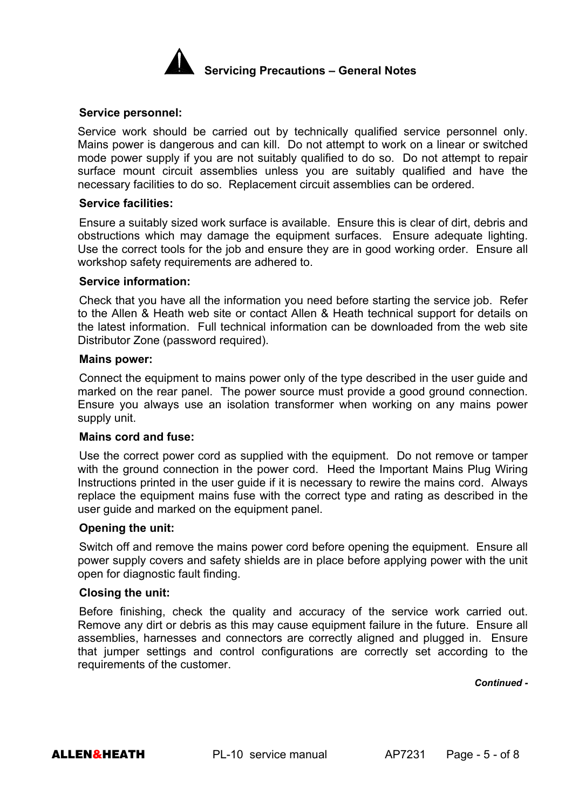

#### **Service personnel:**

Service work should be carried out by technically qualified service personnel only. Mains power is dangerous and can kill. Do not attempt to work on a linear or switched mode power supply if you are not suitably qualified to do so. Do not attempt to repair surface mount circuit assemblies unless you are suitably qualified and have the necessary facilities to do so. Replacement circuit assemblies can be ordered.

#### **Service facilities:**

Ensure a suitably sized work surface is available. Ensure this is clear of dirt, debris and obstructions which may damage the equipment surfaces. Ensure adequate lighting. Use the correct tools for the job and ensure they are in good working order. Ensure all workshop safety requirements are adhered to.

#### **Service information:**

Check that you have all the information you need before starting the service job. Refer to the Allen & Heath web site or contact Allen & Heath technical support for details on the latest information. Full technical information can be downloaded from the web site Distributor Zone (password required).

#### **Mains power:**

Connect the equipment to mains power only of the type described in the user guide and marked on the rear panel. The power source must provide a good ground connection. Ensure you always use an isolation transformer when working on any mains power supply unit.

#### **Mains cord and fuse:**

Use the correct power cord as supplied with the equipment. Do not remove or tamper with the ground connection in the power cord. Heed the Important Mains Plug Wiring Instructions printed in the user guide if it is necessary to rewire the mains cord. Always replace the equipment mains fuse with the correct type and rating as described in the user guide and marked on the equipment panel.

#### **Opening the unit:**

Switch off and remove the mains power cord before opening the equipment. Ensure all power supply covers and safety shields are in place before applying power with the unit open for diagnostic fault finding.

#### **Closing the unit:**

Before finishing, check the quality and accuracy of the service work carried out. Remove any dirt or debris as this may cause equipment failure in the future. Ensure all assemblies, harnesses and connectors are correctly aligned and plugged in. Ensure that jumper settings and control configurations are correctly set according to the requirements of the customer.

*Continued -*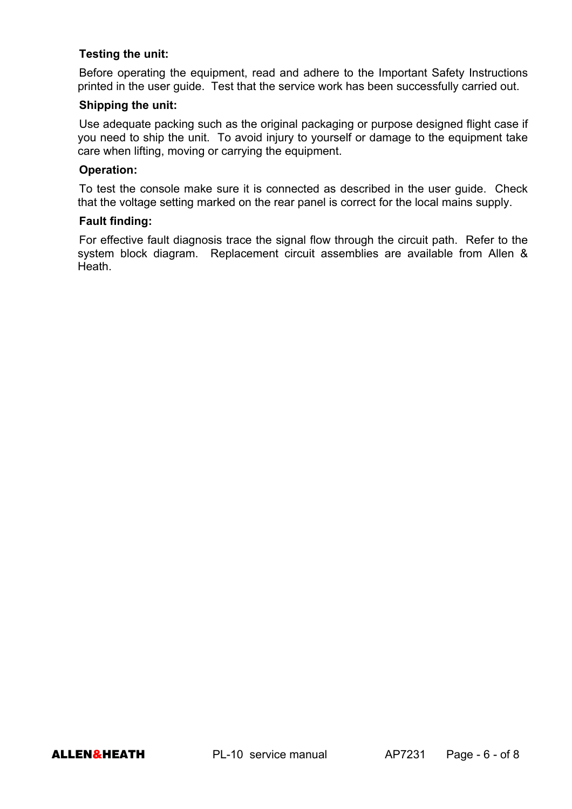### **Testing the unit:**

Before operating the equipment, read and adhere to the Important Safety Instructions printed in the user guide. Test that the service work has been successfully carried out.

### **Shipping the unit:**

Use adequate packing such as the original packaging or purpose designed flight case if you need to ship the unit. To avoid injury to yourself or damage to the equipment take care when lifting, moving or carrying the equipment.

### **Operation:**

To test the console make sure it is connected as described in the user guide. Check that the voltage setting marked on the rear panel is correct for the local mains supply.

#### **Fault finding:**

For effective fault diagnosis trace the signal flow through the circuit path. Refer to the system block diagram. Replacement circuit assemblies are available from Allen & Heath.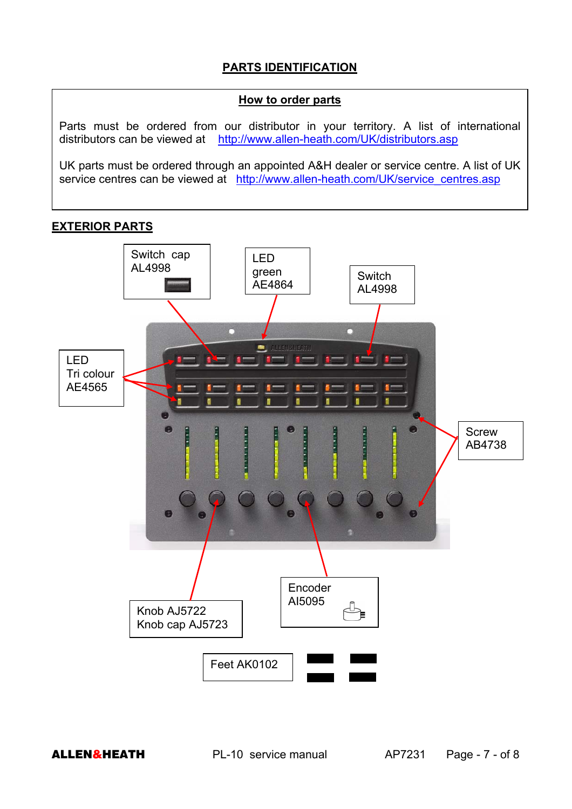# **PARTS IDENTIFICATION**

#### **How to order parts**

Parts must be ordered from our distributor in your territory. A list of international distributors can be viewed at http://www.allen-heath.com/UK/distributors.asp

UK parts must be ordered through an appointed A&H dealer or service centre. A list of UK service centres can be viewed at http://www.allen-heath.com/UK/service\_centres.asp

# **EXTERIOR PARTS**



**ALLEN&HEATH** PL-10 service manual PL-10 AP7231 Page - 7 - of 8